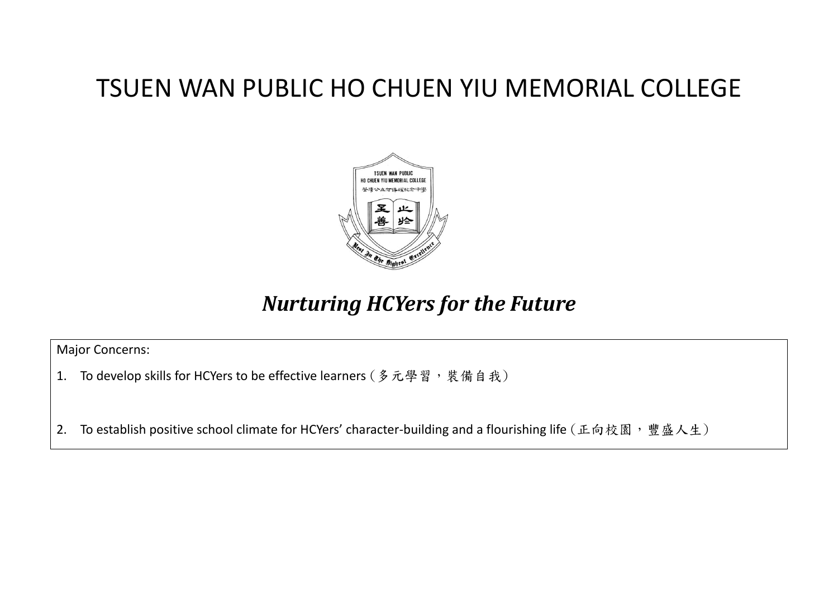## TSUEN WAN PUBLIC HO CHUEN YIU MEMORIAL COLLEGE



## *Nurturing HCYers for the Future*

Major Concerns:

1. To develop skills for HCYers to be effective learners (多元學習,裝備自我)

2. To establish positive school climate for HCYers' character-building and a flourishing life (正向校園,豐盛人生)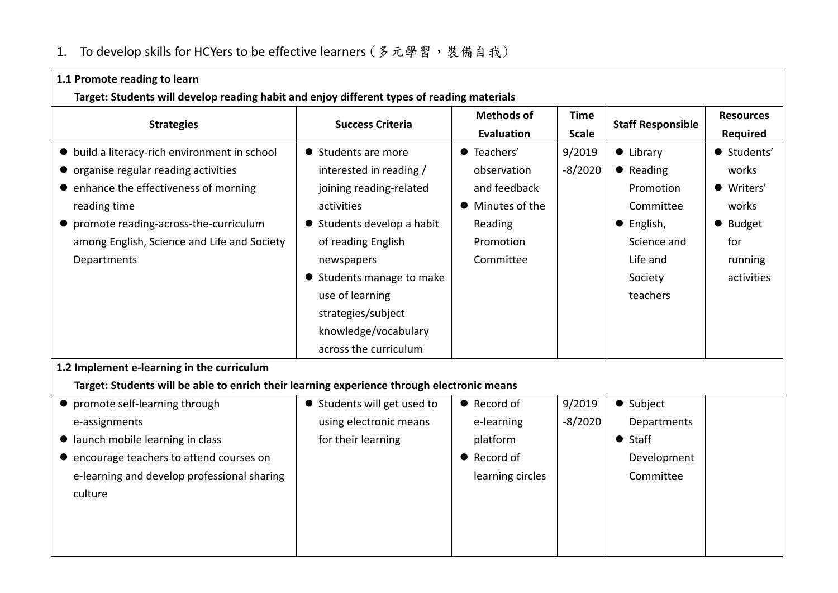## 1. To develop skills for HCYers to be effective learners (多元學習,裝備自我)

| 1.1 Promote reading to learn                                                               |                             |                    |                             |                          |                  |
|--------------------------------------------------------------------------------------------|-----------------------------|--------------------|-----------------------------|--------------------------|------------------|
| Target: Students will develop reading habit and enjoy different types of reading materials |                             |                    |                             |                          |                  |
| <b>Strategies</b>                                                                          | <b>Success Criteria</b>     | <b>Methods of</b>  | <b>Time</b><br><b>Scale</b> | <b>Staff Responsible</b> | <b>Resources</b> |
|                                                                                            |                             | Evaluation         |                             |                          | Required         |
| • build a literacy-rich environment in school                                              | • Students are more         | <b>•</b> Teachers' | 9/2019                      | $\bullet$ Library        | · Students'      |
| organise regular reading activities                                                        | interested in reading /     | observation        | $-8/2020$                   | • Reading                | works            |
| • enhance the effectiveness of morning                                                     | joining reading-related     | and feedback       |                             | Promotion                | · Writers'       |
| reading time                                                                               | activities                  | • Minutes of the   |                             | Committee                | works            |
| • promote reading-across-the-curriculum                                                    | ● Students develop a habit  | Reading            |                             | • English,               | ● Budget         |
| among English, Science and Life and Society                                                | of reading English          | Promotion          |                             | Science and              | for              |
| Departments                                                                                | newspapers                  | Committee          |                             | Life and                 | running          |
|                                                                                            | ● Students manage to make   |                    |                             | Society                  | activities       |
|                                                                                            | use of learning             |                    |                             | teachers                 |                  |
|                                                                                            | strategies/subject          |                    |                             |                          |                  |
|                                                                                            | knowledge/vocabulary        |                    |                             |                          |                  |
|                                                                                            | across the curriculum       |                    |                             |                          |                  |
| 1.2 Implement e-learning in the curriculum                                                 |                             |                    |                             |                          |                  |
| Target: Students will be able to enrich their learning experience through electronic means |                             |                    |                             |                          |                  |
| • promote self-learning through                                                            | • Students will get used to | • Record of        | 9/2019                      | • Subject                |                  |
| e-assignments                                                                              | using electronic means      | e-learning         | $-8/2020$                   | Departments              |                  |
| launch mobile learning in class                                                            | for their learning          | platform           |                             | $\bullet$ Staff          |                  |
| encourage teachers to attend courses on                                                    |                             | • Record of        |                             | Development              |                  |
| e-learning and develop professional sharing                                                |                             | learning circles   |                             | Committee                |                  |
| culture                                                                                    |                             |                    |                             |                          |                  |
|                                                                                            |                             |                    |                             |                          |                  |
|                                                                                            |                             |                    |                             |                          |                  |
|                                                                                            |                             |                    |                             |                          |                  |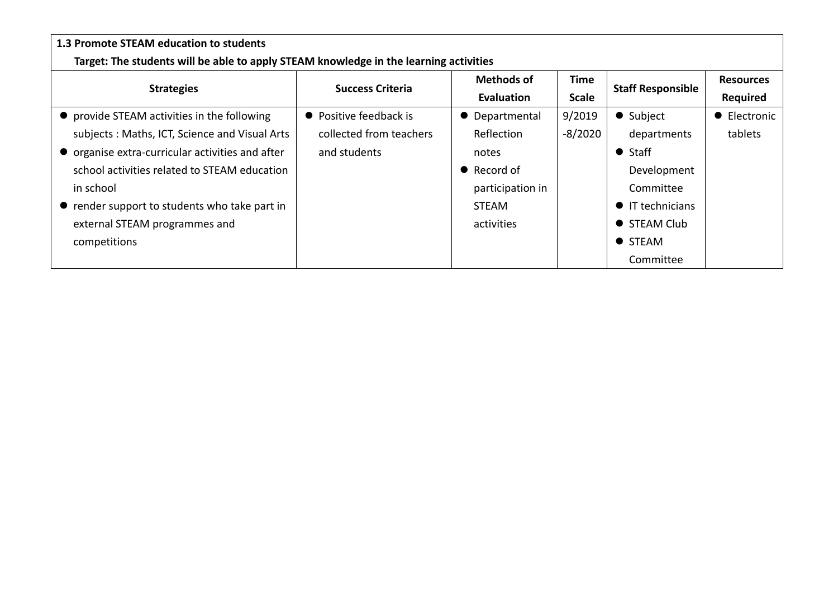| 1.3 Promote STEAM education to students                                               |                         |                           |              |                          |                  |
|---------------------------------------------------------------------------------------|-------------------------|---------------------------|--------------|--------------------------|------------------|
| Target: The students will be able to apply STEAM knowledge in the learning activities |                         |                           |              |                          |                  |
| <b>Strategies</b>                                                                     | <b>Success Criteria</b> | <b>Methods of</b>         | Time         | <b>Staff Responsible</b> | <b>Resources</b> |
|                                                                                       |                         | <b>Evaluation</b>         | <b>Scale</b> |                          | <b>Required</b>  |
| • provide STEAM activities in the following                                           | • Positive feedback is  | Departmental<br>$\bullet$ | 9/2019       | • Subject                | • Electronic     |
| subjects: Maths, ICT, Science and Visual Arts                                         | collected from teachers | Reflection                | $-8/2020$    | departments              | tablets          |
| • organise extra-curricular activities and after                                      | and students            | notes                     |              | $\bullet$ Staff          |                  |
| school activities related to STEAM education                                          |                         | $\bullet$ Record of       |              | Development              |                  |
| in school                                                                             |                         | participation in          |              | Committee                |                  |
| • render support to students who take part in                                         |                         | STEAM                     |              | $\bullet$ IT technicians |                  |
| external STEAM programmes and                                                         |                         | activities                |              | • STEAM Club             |                  |
| competitions                                                                          |                         |                           |              | • STEAM                  |                  |
|                                                                                       |                         |                           |              | Committee                |                  |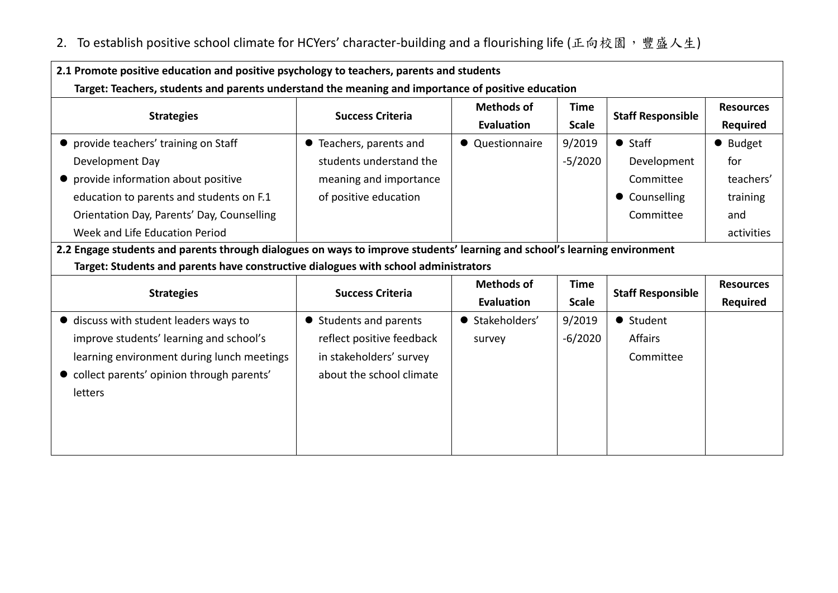## 2. To establish positive school climate for HCYers' character-building and a flourishing life (正向校園,豐盛人生)

| 2.1 Promote positive education and positive psychology to teachers, parents and students                                  |                           |                                  |                             |                          |                  |
|---------------------------------------------------------------------------------------------------------------------------|---------------------------|----------------------------------|-----------------------------|--------------------------|------------------|
| Target: Teachers, students and parents understand the meaning and importance of positive education                        |                           |                                  |                             |                          |                  |
| <b>Strategies</b>                                                                                                         | <b>Success Criteria</b>   | <b>Methods of</b>                | <b>Time</b><br><b>Scale</b> | <b>Staff Responsible</b> | <b>Resources</b> |
|                                                                                                                           |                           | Evaluation                       |                             |                          | Required         |
| provide teachers' training on Staff                                                                                       | • Teachers, parents and   | • Questionnaire                  | 9/2019                      | $\bullet$ Staff          | • Budget         |
| Development Day                                                                                                           | students understand the   |                                  | $-5/2020$                   | Development              | for              |
| provide information about positive                                                                                        | meaning and importance    |                                  |                             | Committee                | teachers'        |
| education to parents and students on F.1                                                                                  | of positive education     |                                  |                             | • Counselling            | training         |
| Orientation Day, Parents' Day, Counselling                                                                                |                           |                                  |                             | Committee                | and              |
| Week and Life Education Period                                                                                            |                           |                                  |                             |                          | activities       |
| 2.2 Engage students and parents through dialogues on ways to improve students' learning and school's learning environment |                           |                                  |                             |                          |                  |
| Target: Students and parents have constructive dialogues with school administrators                                       |                           |                                  |                             |                          |                  |
| <b>Strategies</b>                                                                                                         | <b>Success Criteria</b>   | <b>Methods of</b><br><b>Time</b> |                             | <b>Staff Responsible</b> | <b>Resources</b> |
|                                                                                                                           |                           | <b>Evaluation</b>                | <b>Scale</b>                |                          | Required         |
| • discuss with student leaders ways to                                                                                    | • Students and parents    | ● Stakeholders'                  | 9/2019                      | • Student                |                  |
| improve students' learning and school's                                                                                   | reflect positive feedback | survey                           | $-6/2020$                   | Affairs                  |                  |
| learning environment during lunch meetings                                                                                | in stakeholders' survey   |                                  |                             | Committee                |                  |
| • collect parents' opinion through parents'                                                                               | about the school climate  |                                  |                             |                          |                  |
| letters                                                                                                                   |                           |                                  |                             |                          |                  |
|                                                                                                                           |                           |                                  |                             |                          |                  |
|                                                                                                                           |                           |                                  |                             |                          |                  |
|                                                                                                                           |                           |                                  |                             |                          |                  |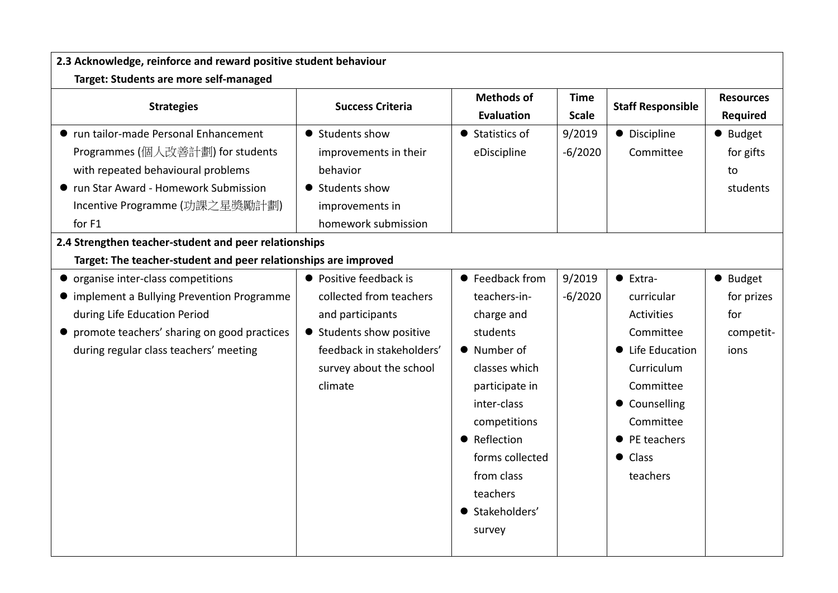| 2.3 Acknowledge, reinforce and reward positive student behaviour                                                                                                                                                                                                                                                                                                                                                                                                                                                                                    |                                                                                                                                                                                                                                                                                           |                                                                                                                                                                                                                                                                        |                                            |                                                                                                                                                                                                                          |                                                                                               |
|-----------------------------------------------------------------------------------------------------------------------------------------------------------------------------------------------------------------------------------------------------------------------------------------------------------------------------------------------------------------------------------------------------------------------------------------------------------------------------------------------------------------------------------------------------|-------------------------------------------------------------------------------------------------------------------------------------------------------------------------------------------------------------------------------------------------------------------------------------------|------------------------------------------------------------------------------------------------------------------------------------------------------------------------------------------------------------------------------------------------------------------------|--------------------------------------------|--------------------------------------------------------------------------------------------------------------------------------------------------------------------------------------------------------------------------|-----------------------------------------------------------------------------------------------|
| Target: Students are more self-managed                                                                                                                                                                                                                                                                                                                                                                                                                                                                                                              |                                                                                                                                                                                                                                                                                           |                                                                                                                                                                                                                                                                        |                                            |                                                                                                                                                                                                                          |                                                                                               |
| <b>Strategies</b>                                                                                                                                                                                                                                                                                                                                                                                                                                                                                                                                   | <b>Success Criteria</b>                                                                                                                                                                                                                                                                   | <b>Methods of</b><br><b>Evaluation</b>                                                                                                                                                                                                                                 | <b>Time</b><br><b>Scale</b>                | <b>Staff Responsible</b>                                                                                                                                                                                                 | <b>Resources</b><br><b>Required</b>                                                           |
| ● run tailor-made Personal Enhancement<br>Programmes (個人改善計劃) for students<br>with repeated behavioural problems<br>● run Star Award - Homework Submission<br>Incentive Programme (功課之星獎勵計劃)<br>for F1<br>2.4 Strengthen teacher-student and peer relationships<br>Target: The teacher-student and peer relationships are improved<br>• organise inter-class competitions<br>• implement a Bullying Prevention Programme<br>during Life Education Period<br>• promote teachers' sharing on good practices<br>during regular class teachers' meeting | • Students show<br>improvements in their<br>behavior<br>• Students show<br>improvements in<br>homework submission<br>• Positive feedback is<br>collected from teachers<br>and participants<br>• Students show positive<br>feedback in stakeholders'<br>survey about the school<br>climate | • Statistics of<br>eDiscipline<br>• Feedback from<br>teachers-in-<br>charge and<br>students<br>• Number of<br>classes which<br>participate in<br>inter-class<br>competitions<br>• Reflection<br>forms collected<br>from class<br>teachers<br>● Stakeholders'<br>survey | 9/2019<br>$-6/2020$<br>9/2019<br>$-6/2020$ | • Discipline<br>Committee<br>$\bullet$ Extra-<br>curricular<br><b>Activities</b><br>Committee<br>Life Education<br>Curriculum<br>Committee<br>• Counselling<br>Committee<br>• PE teachers<br>$\bullet$ Class<br>teachers | ● Budget<br>for gifts<br>to<br>students<br>• Budget<br>for prizes<br>for<br>competit-<br>ions |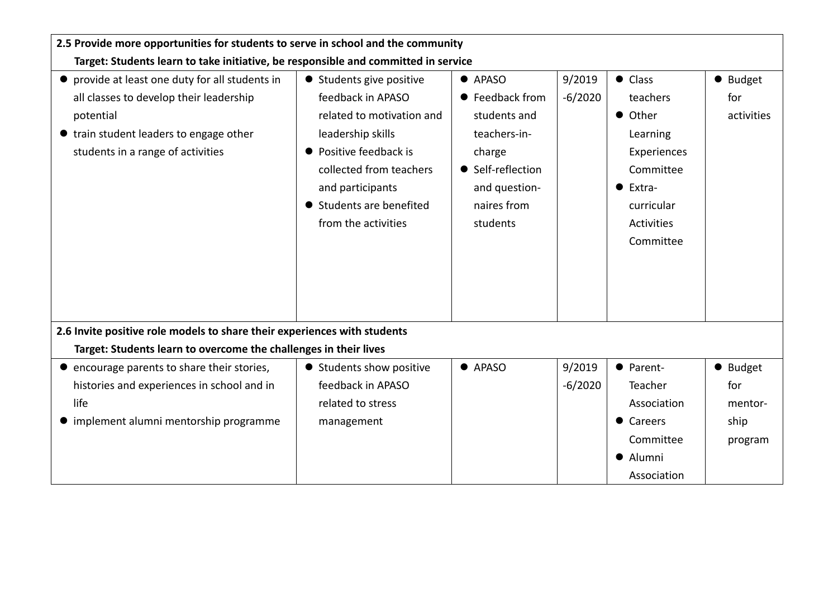| 2.5 Provide more opportunities for students to serve in school and the community                                                                                                        |                                                                                                                                                                                                                             |                                                                                                                                               |                     |                                                                                                                                   |                               |
|-----------------------------------------------------------------------------------------------------------------------------------------------------------------------------------------|-----------------------------------------------------------------------------------------------------------------------------------------------------------------------------------------------------------------------------|-----------------------------------------------------------------------------------------------------------------------------------------------|---------------------|-----------------------------------------------------------------------------------------------------------------------------------|-------------------------------|
| Target: Students learn to take initiative, be responsible and committed in service                                                                                                      |                                                                                                                                                                                                                             |                                                                                                                                               |                     |                                                                                                                                   |                               |
| • provide at least one duty for all students in<br>all classes to develop their leadership<br>potential<br>• train student leaders to engage other<br>students in a range of activities | • Students give positive<br>feedback in APASO<br>related to motivation and<br>leadership skills<br>• Positive feedback is<br>collected from teachers<br>and participants<br>● Students are benefited<br>from the activities | $\bullet$ APASO<br>● Feedback from<br>students and<br>teachers-in-<br>charge<br>• Self-reflection<br>and question-<br>naires from<br>students | 9/2019<br>$-6/2020$ | $\bullet$ Class<br>teachers<br>• Other<br>Learning<br>Experiences<br>Committee<br>Extra-<br>curricular<br>Activities<br>Committee | • Budget<br>for<br>activities |
| 2.6 Invite positive role models to share their experiences with students                                                                                                                |                                                                                                                                                                                                                             |                                                                                                                                               |                     |                                                                                                                                   |                               |
| Target: Students learn to overcome the challenges in their lives                                                                                                                        |                                                                                                                                                                                                                             |                                                                                                                                               |                     |                                                                                                                                   |                               |
| • encourage parents to share their stories,                                                                                                                                             | ● Students show positive                                                                                                                                                                                                    | $\bullet$ APASO                                                                                                                               | 9/2019              | • Parent-                                                                                                                         | • Budget                      |
| histories and experiences in school and in                                                                                                                                              | feedback in APASO                                                                                                                                                                                                           |                                                                                                                                               | $-6/2020$           | Teacher                                                                                                                           | for                           |
| life                                                                                                                                                                                    | related to stress                                                                                                                                                                                                           |                                                                                                                                               |                     | Association                                                                                                                       | mentor-                       |
| • implement alumni mentorship programme                                                                                                                                                 | management                                                                                                                                                                                                                  |                                                                                                                                               |                     | • Careers                                                                                                                         | ship                          |
|                                                                                                                                                                                         |                                                                                                                                                                                                                             |                                                                                                                                               |                     | Committee                                                                                                                         | program                       |
|                                                                                                                                                                                         |                                                                                                                                                                                                                             |                                                                                                                                               |                     | • Alumni                                                                                                                          |                               |
|                                                                                                                                                                                         |                                                                                                                                                                                                                             |                                                                                                                                               |                     | Association                                                                                                                       |                               |